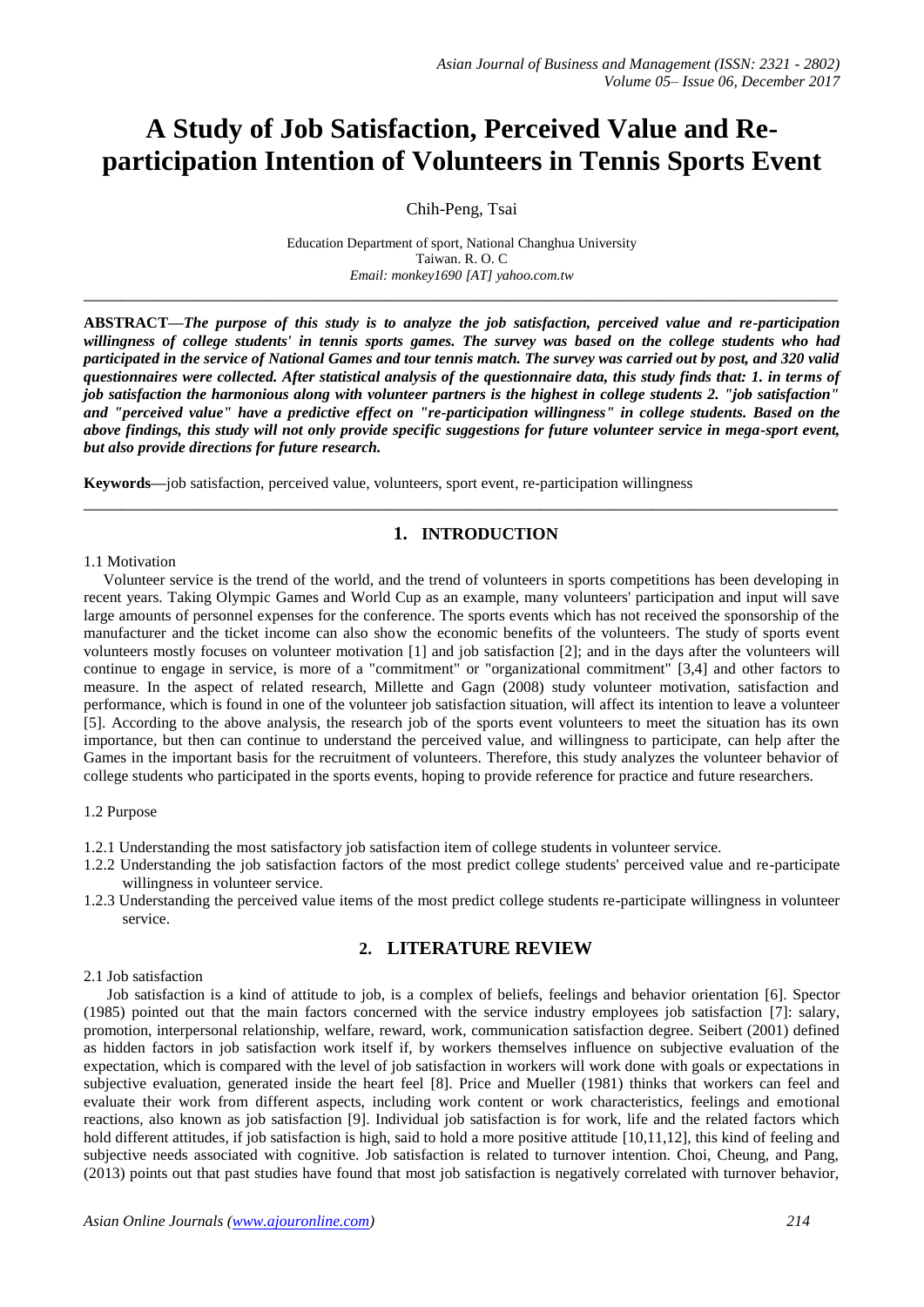# **A Study of Job Satisfaction, Perceived Value and Reparticipation Intention of Volunteers in Tennis Sports Event**

Chih-Peng, Tsai

Education Department of sport, National Changhua University Taiwan. R. O. C *Email: monkey1690 [AT] yahoo.com.tw*

**\_\_\_\_\_\_\_\_\_\_\_\_\_\_\_\_\_\_\_\_\_\_\_\_\_\_\_\_\_\_\_\_\_\_\_\_\_\_\_\_\_\_\_\_\_\_\_\_\_\_\_\_\_\_\_\_\_\_\_\_\_\_\_\_\_\_\_\_\_\_\_\_\_\_\_\_\_\_\_\_\_**

**ABSTRACT—***The purpose of this study is to analyze the job satisfaction, perceived value and re-participation willingness of college students' in tennis sports games. The survey was based on the college students who had participated in the service of National Games and tour tennis match. The survey was carried out by post, and 320 valid questionnaires were collected. After statistical analysis of the questionnaire data, this study finds that: 1. in terms of job satisfaction the harmonious along with volunteer partners is the highest in college students 2. "job satisfaction" and "perceived value" have a predictive effect on "re-participation willingness" in college students. Based on the above findings, this study will not only provide specific suggestions for future volunteer service in mega-sport event, but also provide directions for future research.*

**Keywords—**job satisfaction, perceived value, volunteers, sport event, re-participation willingness

# **1. INTRODUCTION**

**\_\_\_\_\_\_\_\_\_\_\_\_\_\_\_\_\_\_\_\_\_\_\_\_\_\_\_\_\_\_\_\_\_\_\_\_\_\_\_\_\_\_\_\_\_\_\_\_\_\_\_\_\_\_\_\_\_\_\_\_\_\_\_\_\_\_\_\_\_\_\_\_\_\_\_\_\_\_\_\_\_**

#### 1.1 Motivation

 Volunteer service is the trend of the world, and the trend of volunteers in sports competitions has been developing in recent years. Taking Olympic Games and World Cup as an example, many volunteers' participation and input will save large amounts of personnel expenses for the conference. The sports events which has not received the sponsorship of the manufacturer and the ticket income can also show the economic benefits of the volunteers. The study of sports event volunteers mostly focuses on volunteer motivation [1] and job satisfaction [2]; and in the days after the volunteers will continue to engage in service, is more of a "commitment" or "organizational commitment" [3,4] and other factors to measure. In the aspect of related research, Millette and Gagn (2008) study volunteer motivation, satisfaction and performance, which is found in one of the volunteer job satisfaction situation, will affect its intention to leave a volunteer [5]. According to the above analysis, the research job of the sports event volunteers to meet the situation has its own importance, but then can continue to understand the perceived value, and willingness to participate, can help after the Games in the important basis for the recruitment of volunteers. Therefore, this study analyzes the volunteer behavior of college students who participated in the sports events, hoping to provide reference for practice and future researchers.

### 1.2 Purpose

- 1.2.1 Understanding the most satisfactory job satisfaction item of college students in volunteer service.
- 1.2.2 Understanding the job satisfaction factors of the most predict college students' perceived value and re-participate willingness in volunteer service.
- 1.2.3 Understanding the perceived value items of the most predict college students re-participate willingness in volunteer service.

# **2. LITERATURE REVIEW**

# 2.1 Job satisfaction

 Job satisfaction is a kind of attitude to job, is a complex of beliefs, feelings and behavior orientation [6]. Spector (1985) pointed out that the main factors concerned with the service industry employees job satisfaction [7]: salary, promotion, interpersonal relationship, welfare, reward, work, communication satisfaction degree. Seibert (2001) defined as hidden factors in job satisfaction work itself if, by workers themselves influence on subjective evaluation of the expectation, which is compared with the level of job satisfaction in workers will work done with goals or expectations in subjective evaluation, generated inside the heart feel [8]. Price and Mueller (1981) thinks that workers can feel and evaluate their work from different aspects, including work content or work characteristics, feelings and emotional reactions, also known as job satisfaction [9]. Individual job satisfaction is for work, life and the related factors which hold different attitudes, if job satisfaction is high, said to hold a more positive attitude [10,11,12], this kind of feeling and subjective needs associated with cognitive. Job satisfaction is related to turnover intention. Choi, Cheung, and Pang, (2013) points out that past studies have found that most job satisfaction is negatively correlated with turnover behavior,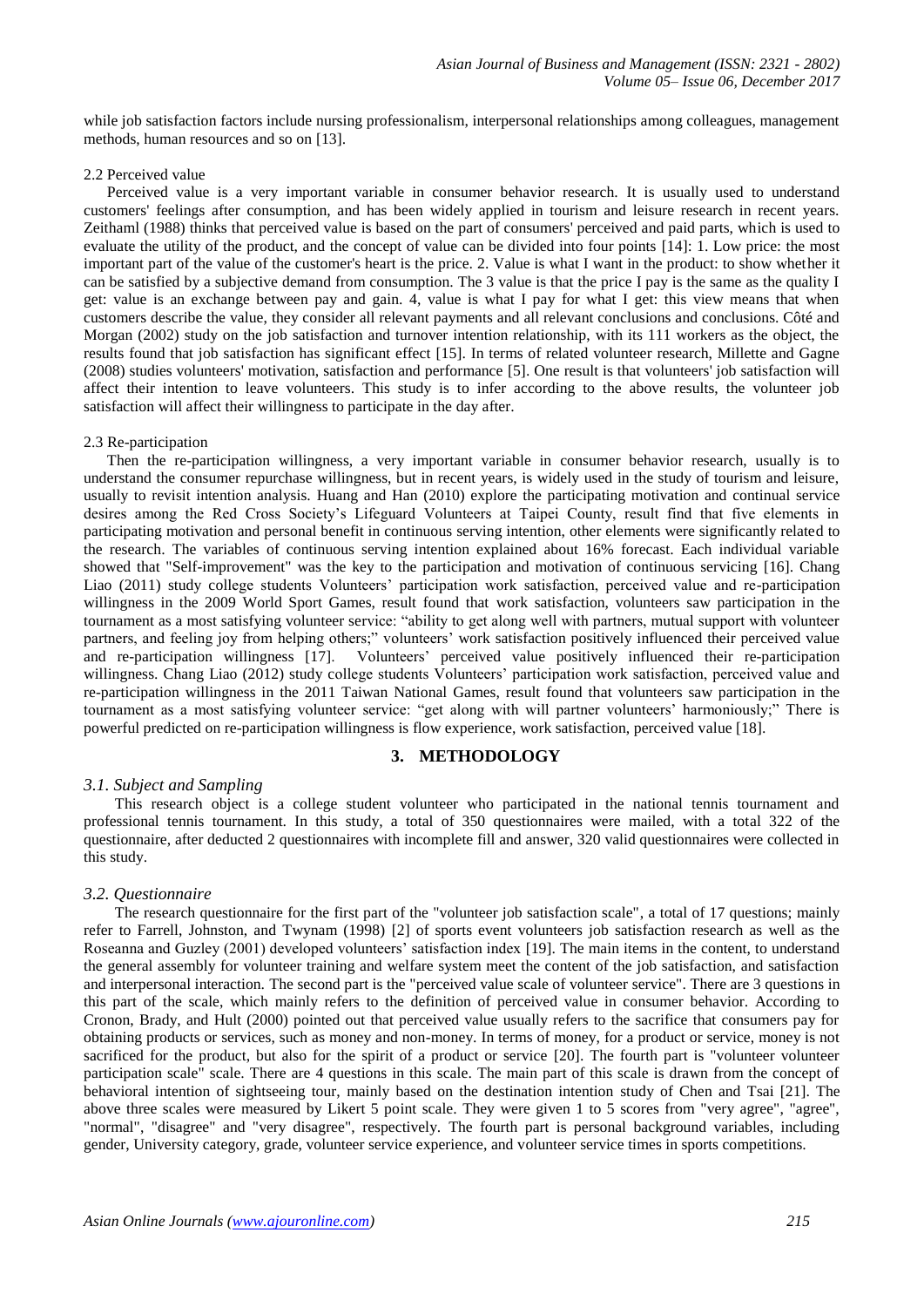while job satisfaction factors include nursing professionalism, interpersonal relationships among colleagues, management methods, human resources and so on [13].

#### 2.2 Perceived value

 Perceived value is a very important variable in consumer behavior research. It is usually used to understand customers' feelings after consumption, and has been widely applied in tourism and leisure research in recent years. Zeithaml (1988) thinks that perceived value is based on the part of consumers' perceived and paid parts, which is used to evaluate the utility of the product, and the concept of value can be divided into four points [14]: 1. Low price: the most important part of the value of the customer's heart is the price. 2. Value is what I want in the product: to show whether it can be satisfied by a subjective demand from consumption. The 3 value is that the price I pay is the same as the quality I get: value is an exchange between pay and gain. 4, value is what I pay for what I get: this view means that when customers describe the value, they consider all relevant payments and all relevant conclusions and conclusions. Côté and Morgan (2002) study on the job satisfaction and turnover intention relationship, with its 111 workers as the object, the results found that job satisfaction has significant effect [15]. In terms of related volunteer research, Millette and Gagne (2008) studies volunteers' motivation, satisfaction and performance [5]. One result is that volunteers' job satisfaction will affect their intention to leave volunteers. This study is to infer according to the above results, the volunteer job satisfaction will affect their willingness to participate in the day after.

#### 2.3 Re-participation

 Then the re-participation willingness, a very important variable in consumer behavior research, usually is to understand the consumer repurchase willingness, but in recent years, is widely used in the study of tourism and leisure, usually to revisit intention analysis. Huang and Han (2010) explore the participating motivation and continual service desires among the Red Cross Society's Lifeguard Volunteers at Taipei County, result find that five elements in participating motivation and personal benefit in continuous serving intention, other elements were significantly related to the research. The variables of continuous serving intention explained about 16% forecast. Each individual variable showed that "Self-improvement" was the key to the participation and motivation of continuous servicing [16]. Chang Liao (2011) study college students Volunteers' participation work satisfaction, perceived value and re-participation willingness in the 2009 World Sport Games, result found that work satisfaction, volunteers saw participation in the tournament as a most satisfying volunteer service: "ability to get along well with partners, mutual support with volunteer partners, and feeling joy from helping others;" volunteers' work satisfaction positively influenced their perceived value and re-participation willingness [17]. Volunteers' perceived value positively influenced their re-participation willingness. Chang Liao (2012) study college students Volunteers' participation work satisfaction, perceived value and re-participation willingness in the 2011 Taiwan National Games, result found that volunteers saw participation in the tournament as a most satisfying volunteer service: "get along with will partner volunteers' harmoniously;" There is powerful predicted on re-participation willingness is flow experience, work satisfaction, perceived value [18].

## **3. METHODOLOGY**

#### *3.1. Subject and Sampling*

This research object is a college student volunteer who participated in the national tennis tournament and professional tennis tournament. In this study, a total of 350 questionnaires were mailed, with a total 322 of the questionnaire, after deducted 2 questionnaires with incomplete fill and answer, 320 valid questionnaires were collected in this study.

#### *3.2. Questionnaire*

The research questionnaire for the first part of the "volunteer job satisfaction scale", a total of 17 questions; mainly refer to Farrell, Johnston, and Twynam (1998) [2] of sports event volunteers job satisfaction research as well as the Roseanna and Guzley (2001) developed volunteers' satisfaction index [19]. The main items in the content, to understand the general assembly for volunteer training and welfare system meet the content of the job satisfaction, and satisfaction and interpersonal interaction. The second part is the "perceived value scale of volunteer service". There are 3 questions in this part of the scale, which mainly refers to the definition of perceived value in consumer behavior. According to Cronon, Brady, and Hult (2000) pointed out that perceived value usually refers to the sacrifice that consumers pay for obtaining products or services, such as money and non-money. In terms of money, for a product or service, money is not sacrificed for the product, but also for the spirit of a product or service [20]. The fourth part is "volunteer volunteer participation scale" scale. There are 4 questions in this scale. The main part of this scale is drawn from the concept of behavioral intention of sightseeing tour, mainly based on the destination intention study of Chen and Tsai [21]. The above three scales were measured by Likert 5 point scale. They were given 1 to 5 scores from "very agree", "agree", "normal", "disagree" and "very disagree", respectively. The fourth part is personal background variables, including gender, University category, grade, volunteer service experience, and volunteer service times in sports competitions.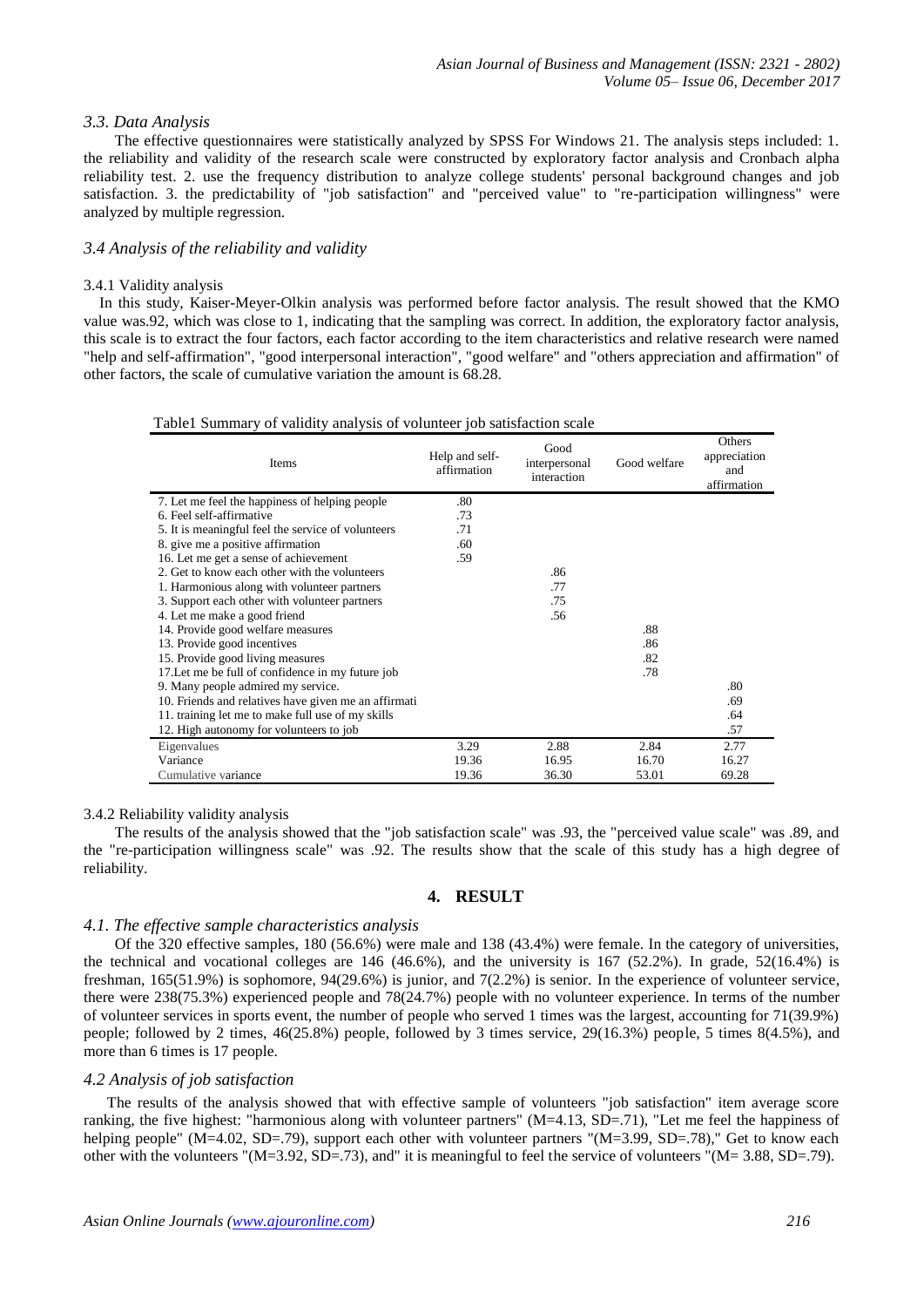## *3.3. Data Analysis*

The effective questionnaires were statistically analyzed by SPSS For Windows 21. The analysis steps included: 1. the reliability and validity of the research scale were constructed by exploratory factor analysis and Cronbach alpha reliability test. 2. use the frequency distribution to analyze college students' personal background changes and job satisfaction. 3. the predictability of "job satisfaction" and "perceived value" to "re-participation willingness" were analyzed by multiple regression.

# *3.4 Analysis of the reliability and validity*

#### 3.4.1 Validity analysis

 In this study, Kaiser-Meyer-Olkin analysis was performed before factor analysis. The result showed that the KMO value was.92, which was close to 1, indicating that the sampling was correct. In addition, the exploratory factor analysis, this scale is to extract the four factors, each factor according to the item characteristics and relative research were named "help and self-affirmation", "good interpersonal interaction", "good welfare" and "others appreciation and affirmation" of other factors, the scale of cumulative variation the amount is 68.28.

#### Table1 Summary of validity analysis of volunteer job satisfaction scale

| Items                                                | Help and self-<br>affirmation | Good<br>interpersonal<br>interaction | Good welfare | Others<br>appreciation<br>and<br>affirmation |
|------------------------------------------------------|-------------------------------|--------------------------------------|--------------|----------------------------------------------|
| 7. Let me feel the happiness of helping people       | .80                           |                                      |              |                                              |
| 6. Feel self-affirmative                             | .73                           |                                      |              |                                              |
| 5. It is meaningful feel the service of volunteers   | .71                           |                                      |              |                                              |
| 8. give me a positive affirmation                    | .60                           |                                      |              |                                              |
| 16. Let me get a sense of achievement                | .59                           |                                      |              |                                              |
| 2. Get to know each other with the volunteers        |                               | .86                                  |              |                                              |
| 1. Harmonious along with volunteer partners          |                               | .77                                  |              |                                              |
| 3. Support each other with volunteer partners        |                               | .75                                  |              |                                              |
| 4. Let me make a good friend                         |                               | .56                                  |              |                                              |
| 14. Provide good welfare measures                    |                               |                                      | .88          |                                              |
| 13. Provide good incentives                          |                               |                                      | .86          |                                              |
| 15. Provide good living measures                     |                               |                                      | .82          |                                              |
| 17. Let me be full of confidence in my future job    |                               |                                      | .78          |                                              |
| 9. Many people admired my service.                   |                               |                                      |              | .80                                          |
| 10. Friends and relatives have given me an affirmati |                               |                                      |              | .69                                          |
| 11. training let me to make full use of my skills    |                               |                                      |              | .64                                          |
| 12. High autonomy for volunteers to job              |                               |                                      |              | .57                                          |
| Eigenvalues                                          | 3.29                          | 2.88                                 | 2.84         | 2.77                                         |
| Variance                                             | 19.36                         | 16.95                                | 16.70        | 16.27                                        |
| Cumulative variance                                  | 19.36                         | 36.30                                | 53.01        | 69.28                                        |

#### 3.4.2 Reliability validity analysis

The results of the analysis showed that the "job satisfaction scale" was .93, the "perceived value scale" was .89, and the "re-participation willingness scale" was .92. The results show that the scale of this study has a high degree of reliability.

# **4. RESULT**

# *4.1. The effective sample characteristics analysis*

Of the 320 effective samples, 180 (56.6%) were male and 138 (43.4%) were female. In the category of universities, the technical and vocational colleges are  $146 \ (46.6\%)$ , and the university is  $167 \ (52.2\%)$ . In grade,  $52(16.4\%)$  is freshman, 165(51.9%) is sophomore, 94(29.6%) is junior, and 7(2.2%) is senior. In the experience of volunteer service, there were 238(75.3%) experienced people and 78(24.7%) people with no volunteer experience. In terms of the number of volunteer services in sports event, the number of people who served 1 times was the largest, accounting for 71(39.9%) people; followed by 2 times, 46(25.8%) people, followed by 3 times service, 29(16.3%) people, 5 times 8(4.5%), and more than 6 times is 17 people.

## *4.2 Analysis of job satisfaction*

The results of the analysis showed that with effective sample of volunteers "job satisfaction" item average score ranking, the five highest: "harmonious along with volunteer partners" (M=4.13, SD=.71), "Let me feel the happiness of helping people" (M=4.02, SD=.79), support each other with volunteer partners "(M=3.99, SD=.78)," Get to know each other with the volunteers "(M=3.92, SD=.73), and" it is meaningful to feel the service of volunteers "(M= 3.88, SD=.79).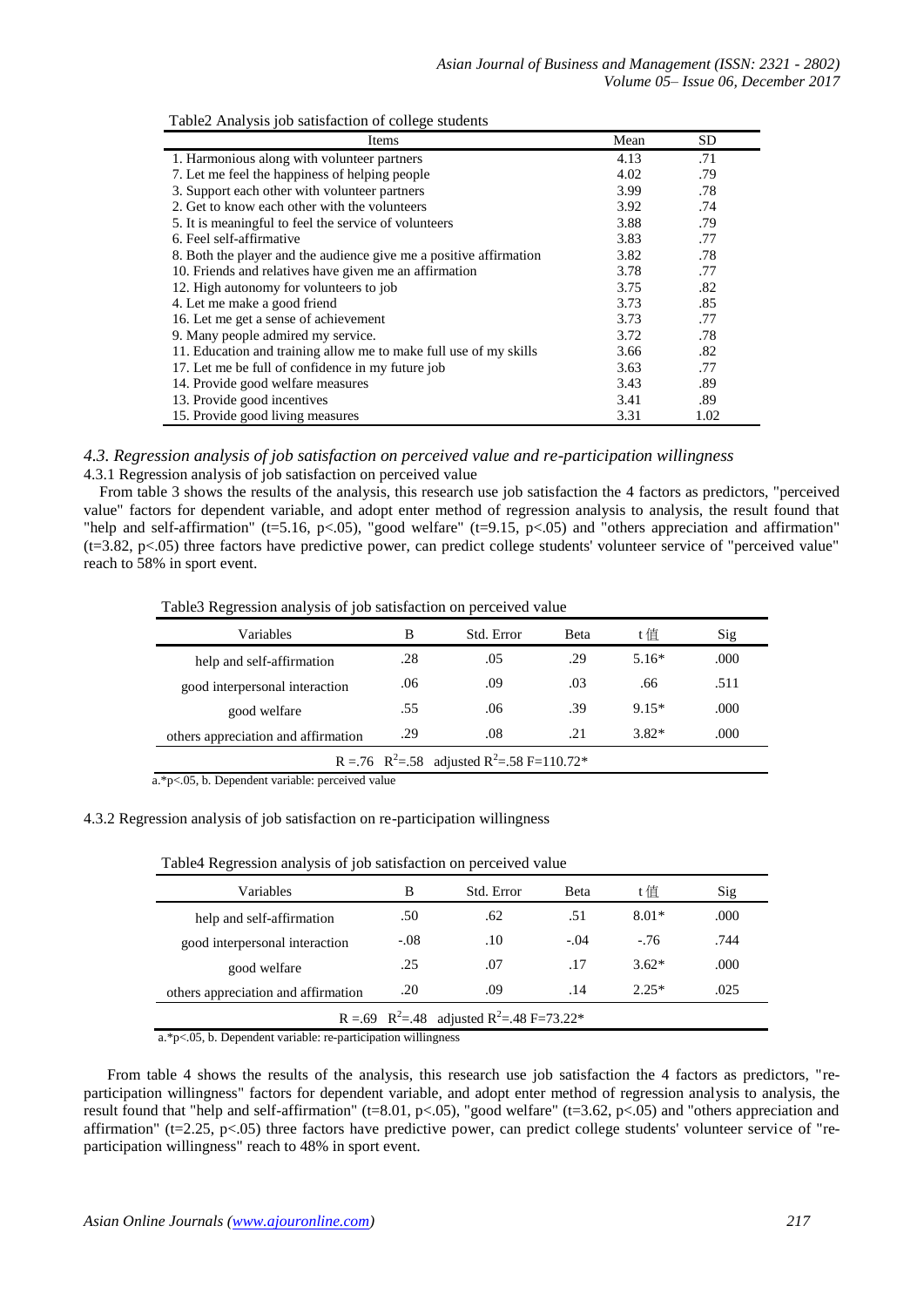|  |  | Table2 Analysis job satisfaction of college students |
|--|--|------------------------------------------------------|
|--|--|------------------------------------------------------|

| Items                                                              | Mean | <b>SD</b> |
|--------------------------------------------------------------------|------|-----------|
| 1. Harmonious along with volunteer partners                        | 4.13 | .71       |
| 7. Let me feel the happiness of helping people                     | 4.02 | .79       |
| 3. Support each other with volunteer partners                      | 3.99 | .78       |
| 2. Get to know each other with the volunteers                      | 3.92 | .74       |
| 5. It is meaningful to feel the service of volunteers              | 3.88 | .79       |
| 6. Feel self-affirmative                                           | 3.83 | .77       |
| 8. Both the player and the audience give me a positive affirmation | 3.82 | .78       |
| 10. Friends and relatives have given me an affirmation             | 3.78 | .77       |
| 12. High autonomy for volunteers to job                            | 3.75 | .82       |
| 4. Let me make a good friend                                       | 3.73 | .85       |
| 16. Let me get a sense of achievement                              | 3.73 | .77       |
| 9. Many people admired my service.                                 | 3.72 | .78       |
| 11. Education and training allow me to make full use of my skills  | 3.66 | .82       |
| 17. Let me be full of confidence in my future job                  | 3.63 | .77       |
| 14. Provide good welfare measures                                  | 3.43 | .89       |
| 13. Provide good incentives                                        | 3.41 | .89       |
| 15. Provide good living measures                                   | 3.31 | 1.02      |

# *4.3. Regression analysis of job satisfaction on perceived value and re-participation willingness* 4.3.1 Regression analysis of job satisfaction on perceived value

 From table 3 shows the results of the analysis, this research use job satisfaction the 4 factors as predictors, "perceived value" factors for dependent variable, and adopt enter method of regression analysis to analysis, the result found that "help and self-affirmation" (t=5.16, p<.05), "good welfare" (t=9.15, p<.05) and "others appreciation and affirmation" (t=3.82, p<.05) three factors have predictive power, can predict college students' volunteer service of "perceived value" reach to 58% in sport event.

Table3 Regression analysis of job satisfaction on perceived value

| Variables                                                                                                       | B   | Std. Error | <b>B</b> eta | t倌      | Sig  |
|-----------------------------------------------------------------------------------------------------------------|-----|------------|--------------|---------|------|
| help and self-affirmation                                                                                       | .28 | .05        | .29          | $5.16*$ | .000 |
| good interpersonal interaction                                                                                  | .06 | .09        | .03          | .66     | .511 |
| good welfare                                                                                                    | .55 | .06        | .39          | $9.15*$ | .000 |
| others appreciation and affirmation                                                                             | .29 | .08        | .21          | $3.82*$ | .000 |
| R = .76 R <sup>2</sup> = .58 adjusted R <sup>2</sup> = .58 F=110.72*                                            |     |            |              |         |      |
| $\cdot$ $\cdot$ $\cdot$ $\cdot$<br>$\cdots$<br>$\mathbf{a}$ $\mathbf{a}$ $\mathbf{a}$ $\mathbf{a}$ $\mathbf{b}$ |     |            |              |         |      |

a.\*p<.05, b. Dependent variable: perceived value

# 4.3.2 Regression analysis of job satisfaction on re-participation willingness

| Variables                                                         | в      | Std. Error | Beta   | t值      | Sig  |  |
|-------------------------------------------------------------------|--------|------------|--------|---------|------|--|
| help and self-affirmation                                         | .50    | .62        | .51    | $8.01*$ | .000 |  |
| good interpersonal interaction                                    | $-.08$ | .10        | $-.04$ | $-.76$  | .744 |  |
| good welfare                                                      | .25    | .07        | .17    | $3.62*$ | .000 |  |
| others appreciation and affirmation                               | .20    | .09        | .14    | $2.25*$ | .025 |  |
| R = .69 R <sup>2</sup> =.48 adjusted R <sup>2</sup> =.48 F=73.22* |        |            |        |         |      |  |
|                                                                   |        |            |        |         |      |  |

Table4 Regression analysis of job satisfaction on perceived value

a.\*p<.05, b. Dependent variable: re-participation willingness

 From table 4 shows the results of the analysis, this research use job satisfaction the 4 factors as predictors, "reparticipation willingness" factors for dependent variable, and adopt enter method of regression analysis to analysis, the result found that "help and self-affirmation" (t=8.01, p<.05), "good welfare" (t=3.62, p<.05) and "others appreciation and affirmation" ( $t=2.25$ ,  $p<.05$ ) three factors have predictive power, can predict college students' volunteer service of "reparticipation willingness" reach to 48% in sport event.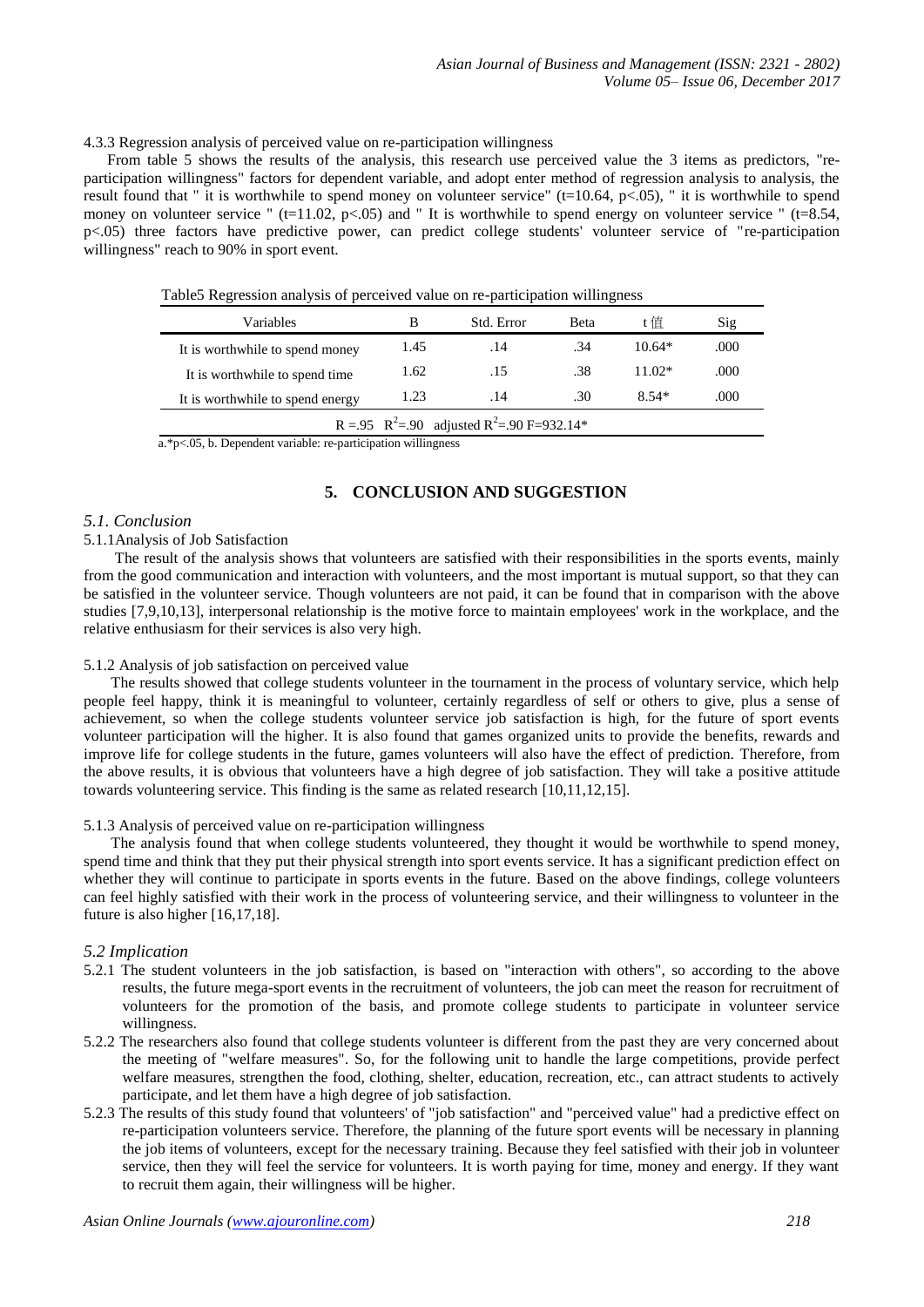4.3.3 Regression analysis of perceived value on re-participation willingness

 From table 5 shows the results of the analysis, this research use perceived value the 3 items as predictors, "reparticipation willingness" factors for dependent variable, and adopt enter method of regression analysis to analysis, the result found that " it is worthwhile to spend money on volunteer service" ( $t=10.64$ ,  $p<0.05$ ), " it is worthwhile to spend money on volunteer service "  $(t=11.02, p<0.05)$  and " It is worthwhile to spend energy on volunteer service "  $(t=8.54, p<0.05)$ p<.05) three factors have predictive power, can predict college students' volunteer service of "re-participation willingness" reach to 90% in sport event.

| Variables                                                          | B    | Std. Error | Beta | t 佰      | Sig  |
|--------------------------------------------------------------------|------|------------|------|----------|------|
| It is worthwhile to spend money                                    | 1.45 | .14        | .34  | $10.64*$ | .000 |
| It is worthwhile to spend time                                     | 1.62 | .15        | .38  | $11.02*$ | .000 |
| It is worthwhile to spend energy                                   | 1.23 | .14        | .30  | $8.54*$  | .000 |
| R = .95 R <sup>2</sup> =.90 adjusted R <sup>2</sup> =.90 F=932.14* |      |            |      |          |      |

Table5 Regression analysis of perceived value on re-participation willingness

a.\*p<.05, b. Dependent variable: re-participation willingness

# **5. CONCLUSION AND SUGGESTION**

# *5.1. Conclusion*

## 5.1.1Analysis of Job Satisfaction

The result of the analysis shows that volunteers are satisfied with their responsibilities in the sports events, mainly from the good communication and interaction with volunteers, and the most important is mutual support, so that they can be satisfied in the volunteer service. Though volunteers are not paid, it can be found that in comparison with the above studies [7,9,10,13], interpersonal relationship is the motive force to maintain employees' work in the workplace, and the relative enthusiasm for their services is also very high.

# 5.1.2 Analysis of job satisfaction on perceived value

 The results showed that college students volunteer in the tournament in the process of voluntary service, which help people feel happy, think it is meaningful to volunteer, certainly regardless of self or others to give, plus a sense of achievement, so when the college students volunteer service job satisfaction is high, for the future of sport events volunteer participation will the higher. It is also found that games organized units to provide the benefits, rewards and improve life for college students in the future, games volunteers will also have the effect of prediction. Therefore, from the above results, it is obvious that volunteers have a high degree of job satisfaction. They will take a positive attitude towards volunteering service. This finding is the same as related research [10,11,12,15].

# 5.1.3 Analysis of perceived value on re-participation willingness

 The analysis found that when college students volunteered, they thought it would be worthwhile to spend money, spend time and think that they put their physical strength into sport events service. It has a significant prediction effect on whether they will continue to participate in sports events in the future. Based on the above findings, college volunteers can feel highly satisfied with their work in the process of volunteering service, and their willingness to volunteer in the future is also higher [16,17,18].

# *5.2 Implication*

- 5.2.1 The student volunteers in the job satisfaction, is based on "interaction with others", so according to the above results, the future mega-sport events in the recruitment of volunteers, the job can meet the reason for recruitment of volunteers for the promotion of the basis, and promote college students to participate in volunteer service willingness.
- 5.2.2 The researchers also found that college students volunteer is different from the past they are very concerned about the meeting of "welfare measures". So, for the following unit to handle the large competitions, provide perfect welfare measures, strengthen the food, clothing, shelter, education, recreation, etc., can attract students to actively participate, and let them have a high degree of job satisfaction.
- 5.2.3 The results of this study found that volunteers' of "job satisfaction" and "perceived value" had a predictive effect on re-participation volunteers service. Therefore, the planning of the future sport events will be necessary in planning the job items of volunteers, except for the necessary training. Because they feel satisfied with their job in volunteer service, then they will feel the service for volunteers. It is worth paying for time, money and energy. If they want to recruit them again, their willingness will be higher.